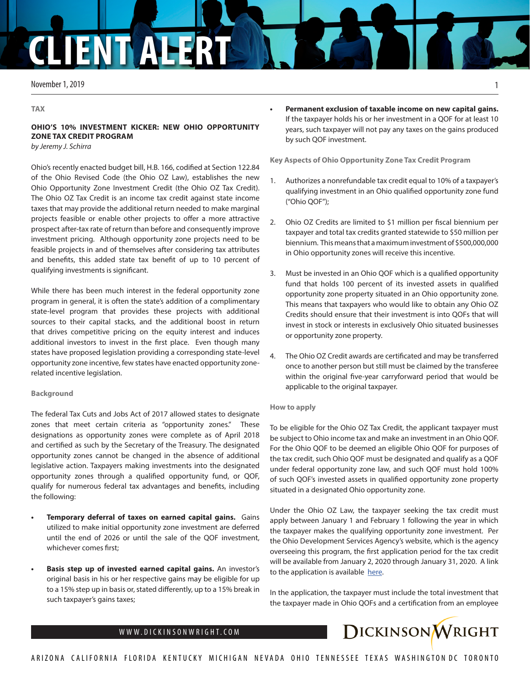# **CLIENT ALE**

November 1, 2019

#### **TAX**

## **OHIO'S 10% INVESTMENT KICKER: NEW OHIO OPPORTUNITY ZONE TAX CREDIT PROGRAM**

*by Jeremy J. Schirra* 

Ohio's recently enacted budget bill, H.B. 166, codified at Section 122.84 of the Ohio Revised Code (the Ohio OZ Law), establishes the new Ohio Opportunity Zone Investment Credit (the Ohio OZ Tax Credit). The Ohio OZ Tax Credit is an income tax credit against state income taxes that may provide the additional return needed to make marginal projects feasible or enable other projects to offer a more attractive prospect after-tax rate of return than before and consequently improve investment pricing. Although opportunity zone projects need to be feasible projects in and of themselves after considering tax attributes and benefits, this added state tax benefit of up to 10 percent of qualifying investments is significant.

While there has been much interest in the federal opportunity zone program in general, it is often the state's addition of a complimentary state-level program that provides these projects with additional sources to their capital stacks, and the additional boost in return that drives competitive pricing on the equity interest and induces additional investors to invest in the first place. Even though many states have proposed legislation providing a corresponding state-level opportunity zone incentive, few states have enacted opportunity zonerelated incentive legislation.

### **Background**

The federal Tax Cuts and Jobs Act of 2017 allowed states to designate zones that meet certain criteria as "opportunity zones." These designations as opportunity zones were complete as of April 2018 and certified as such by the Secretary of the Treasury. The designated opportunity zones cannot be changed in the absence of additional legislative action. Taxpayers making investments into the designated opportunity zones through a qualified opportunity fund, or QOF, qualify for numerous federal tax advantages and benefits, including the following:

- **• Temporary deferral of taxes on earned capital gains.** Gains utilized to make initial opportunity zone investment are deferred until the end of 2026 or until the sale of the QOF investment, whichever comes first;
- **• Basis step up of invested earned capital gains.** An investor's original basis in his or her respective gains may be eligible for up to a 15% step up in basis or, stated differently, up to a 15% break in such taxpayer's gains taxes;

## **• Permanent exclusion of taxable income on new capital gains.** If the taxpayer holds his or her investment in a QOF for at least 10 years, such taxpayer will not pay any taxes on the gains produced by such QOF investment.

**Key Aspects of Ohio Opportunity Zone Tax Credit Program**

- 1. Authorizes a nonrefundable tax credit equal to 10% of a taxpayer's qualifying investment in an Ohio qualified opportunity zone fund ("Ohio QOF");
- 2. Ohio OZ Credits are limited to \$1 million per fiscal biennium per taxpayer and total tax credits granted statewide to \$50 million per biennium. This means that a maximum investment of \$500,000,000 in Ohio opportunity zones will receive this incentive.
- 3. Must be invested in an Ohio QOF which is a qualified opportunity fund that holds 100 percent of its invested assets in qualified opportunity zone property situated in an Ohio opportunity zone. This means that taxpayers who would like to obtain any Ohio OZ Credits should ensure that their investment is into QOFs that will invest in stock or interests in exclusively Ohio situated businesses or opportunity zone property.
- 4. The Ohio OZ Credit awards are certificated and may be transferred once to another person but still must be claimed by the transferee within the original five-year carryforward period that would be applicable to the original taxpayer.

#### **How to apply**

To be eligible for the Ohio OZ Tax Credit, the applicant taxpayer must be subject to Ohio income tax and make an investment in an Ohio QOF. For the Ohio QOF to be deemed an eligible Ohio QOF for purposes of the tax credit, such Ohio QOF must be designated and qualify as a QOF under federal opportunity zone law, and such QOF must hold 100% of such QOF's invested assets in qualified opportunity zone property situated in a designated Ohio opportunity zone.

Under the Ohio OZ Law, the taxpayer seeking the tax credit must apply between January 1 and February 1 following the year in which the taxpayer makes the qualifying opportunity zone investment. Per the Ohio Development Services Agency's website, which is the agency overseeing this program, the first application period for the tax credit will be available from January 2, 2020 through January 31, 2020. A link to the application is available [here.](Ohio’s 10% Investment Kicker: New Ohio Opportunity Zone Tax Credit Program 
by Jeremy J. Schirra 

Ohio’s recently enacted budget bill, H.B. 166, codified at Section 122.84 of the Ohio Revised Code (the Ohio OZ Law), establishes the new Ohio Opportunity Zone Investment Credit (the Ohio OZ Tax Credit).  The Ohio OZ Tax Credit is an income tax credit against state income taxes that may provide the additional return needed to make marginal projects feasible or enable other projects to offer a more attractive prospect after-tax rate of return than before and consequently improve investment pricing.  Although opportunity zone projects need to be feasible projects in and of themselves after considering tax attributes and benefits, this added state tax benefit of up to 10 percent of qualifying investments is significant.  

While there has been much interest in the federal opportunity zone program in general, it is often the state’s addition of a complimentary state-level program that provides these projects with additional sources to their capital stacks, and the additional boost in return that drives competitive pricing on the equity interest and induces additional investors to invest in the first place.  Even though many states have proposed legislation providing a corresponding state-level opportunity zone incentive, few states have enacted opportunity zone-related incentive legislation.

Background

The federal Tax Cuts and Jobs Act of 2017 allowed states to designate zones that meet certain criteria as “opportunity zones.”  These designations as opportunity zones were complete as of April 2018 and certified as such by the Secretary of the Treasury. The designated opportunity zones cannot be changed in the absence of additional legislative action. Taxpayers making investments into the designated opportunity zones through a qualified opportunity fund, or QOF, qualify for numerous federal tax advantages and benefits, including the following:

•	Temporary deferral of taxes on earned capital gains.  Gains utilized to make initial opportunity zone investment are deferred until the end of 2026 or until the sale of the QOF investment, whichever comes first;
•	Basis step up of invested earned capital gains. An investor’s original basis in his or her respective gains may be eligible for up to a 15% step up in basis or, stated differently, up to a 15% break in such taxpayer’s gains taxes;
•	Permanent exclusion of taxable income on new capital gains.  If the taxpayer holds his or her investment in a QOF for at least 10 years, such taxpayer will not pay any taxes on the gains produced by such QOF investment.

Key Aspects of Ohio Opportunity Zone Tax Credit Program

1.	Authorizes a nonrefundable tax credit equal to 10% of a taxpayer’s qualifying investment in an Ohio qualified opportunity zone fund (“Ohio QOF”);
2.	Ohio OZ Credits are limited to $1 million per fiscal biennium per taxpayer and total tax credits granted statewide to $50 million per biennium.  This means that a maximum investment of $500,000,000 in Ohio opportunity zones will receive this incentive.  
3.	Must be invested in an Ohio QOF which is a qualified opportunity fund that holds 100 percent of its invested assets in qualified opportunity zone property situated in an Ohio opportunity zone.  This means that taxpayers who would like to obtain any Ohio OZ Credits should ensure that their investment is into QOFs that will invest in stock or interests in exclusively Ohio situated businesses or opportunity zone property.  
4.	The Ohio OZ Credit awards are certificated and may be transferred once to another person but still must be claimed by the transferee within the original five-year carryforward period that would be applicable to the original taxpayer.  

How to apply

To be eligible for the Ohio OZ Tax Credit, the applicant taxpayer must be subject to Ohio income tax and make an investment in an Ohio QOF.  For the Ohio QOF to be deemed an eligible Ohio QOF for purposes of the tax credit, such Ohio QOF must be designated and qualify as a QOF under federal opportunity zone law, and such QOF must hold 100% of such QOF’s invested assets in qualified opportunity zone property situated in a designated Ohio opportunity zone.

Under the Ohio OZ Law, the taxpayer seeking the tax credit must apply between January 1 and February 1 following the year in which the taxpayer makes the qualifying opportunity zone investment.  Per the Ohio Development Services Agency’s website, which is the agency overseeing this program, the first application period for the tax credit will be available from January 2, 2020 through January 31, 2020.  A link to the application is available  here.

In the application, the taxpayer must include the total investment that the taxpayer made in Ohio QOFs and a certification from an employee or officer of the fund which certifies such taxpayer’s investment, the amount invested, the amount of that investment directed to opportunity zone projects and a description of each project in which such Ohio opportunity zone fund invested.  The Ohio Development Services Agency, which is overseeing this program, will consider applications in the order in which they are received.  Given that there is a cap on availability, the entire amount available in the first 2020-21 biennium could be allocated to taxpayers by February of 2020 (unless state legislation authorizing additional cap is later authorized).  The Ohio Development Services Agency may provide additional guidance but some resources have been provided here and here.

Given that compliance with the federal opportunity zone law is complex and largely a prerequisite for qualification for the Ohio opportunity zone tax credit program, obtaining professional advice from a knowledgeable attorney and consulting your accountant is highly recommended.  For example, a notable but technical exception to compliance with federal opportunity zone law is that any capital (rather than just capital from earned gains) invested into an Ohio QOF could be eligible for the Ohio OZ Tax Credit incentive.

Disclaimer:

The information provided in this article does not, and is not intended to, constitute legal advice; instead, all information, content, and materials available in this article are for general informational purposes only.  Information contained in this article may not constitute the most up-to-date legal or other information.  

https://www.lsc.ohio.gov/pages/budget/current/CurrentGA.aspx?Budget=MainOperating&ID=MainOperating&Version=contentFI 
https://www.legislature.ohio.gov/download?key=12387&format=pdf
)

In the application, the taxpayer must include the total investment that the taxpayer made in Ohio QOFs and a certification from an employee



1